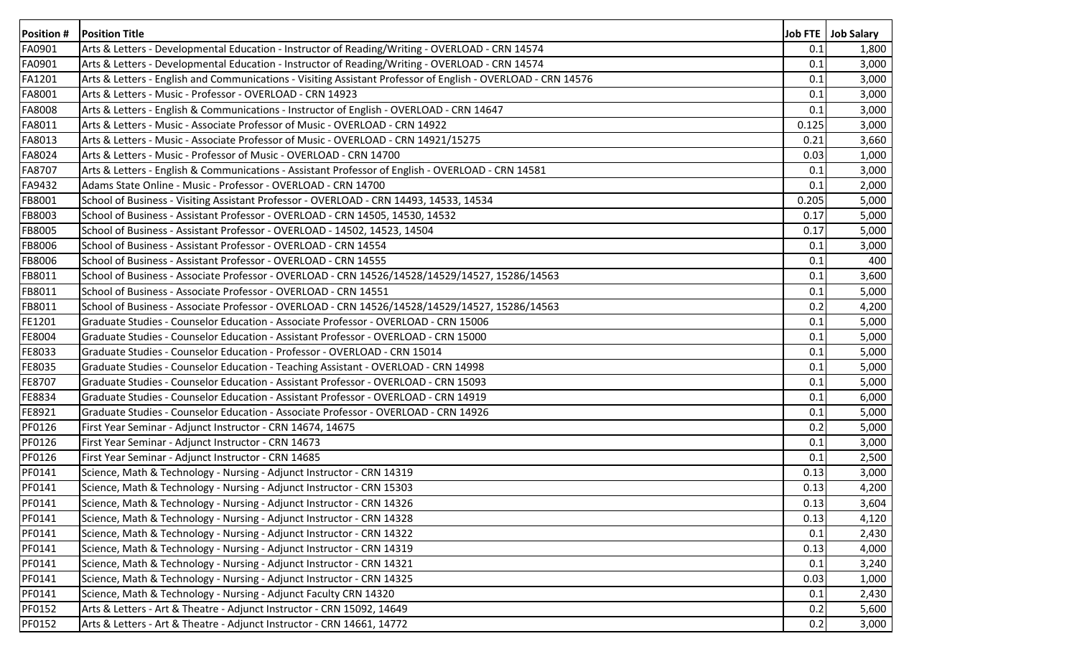| <b>Position#</b> | <b>Position Title</b>                                                                                        |       | Job FTE   Job Salary |
|------------------|--------------------------------------------------------------------------------------------------------------|-------|----------------------|
| FA0901           | Arts & Letters - Developmental Education - Instructor of Reading/Writing - OVERLOAD - CRN 14574              | 0.1   | 1,800                |
| FA0901           | Arts & Letters - Developmental Education - Instructor of Reading/Writing - OVERLOAD - CRN 14574              | 0.1   | 3,000                |
| FA1201           | Arts & Letters - English and Communications - Visiting Assistant Professor of English - OVERLOAD - CRN 14576 | 0.1   | 3,000                |
| FA8001           | Arts & Letters - Music - Professor - OVERLOAD - CRN 14923                                                    | 0.1   | 3,000                |
| FA8008           | Arts & Letters - English & Communications - Instructor of English - OVERLOAD - CRN 14647                     | 0.1   | 3,000                |
| FA8011           | Arts & Letters - Music - Associate Professor of Music - OVERLOAD - CRN 14922                                 | 0.125 | 3,000                |
| FA8013           | Arts & Letters - Music - Associate Professor of Music - OVERLOAD - CRN 14921/15275                           | 0.21  | 3,660                |
| FA8024           | Arts & Letters - Music - Professor of Music - OVERLOAD - CRN 14700                                           | 0.03  | 1,000                |
| FA8707           | Arts & Letters - English & Communications - Assistant Professor of English - OVERLOAD - CRN 14581            | 0.1   | 3,000                |
| FA9432           | Adams State Online - Music - Professor - OVERLOAD - CRN 14700                                                | 0.1   | 2,000                |
| FB8001           | School of Business - Visiting Assistant Professor - OVERLOAD - CRN 14493, 14533, 14534                       | 0.205 | 5,000                |
| FB8003           | School of Business - Assistant Professor - OVERLOAD - CRN 14505, 14530, 14532                                | 0.17  | 5,000                |
| FB8005           | School of Business - Assistant Professor - OVERLOAD - 14502, 14523, 14504                                    | 0.17  | 5,000                |
| FB8006           | School of Business - Assistant Professor - OVERLOAD - CRN 14554                                              | 0.1   | 3,000                |
| FB8006           | School of Business - Assistant Professor - OVERLOAD - CRN 14555                                              | 0.1   | 400                  |
| FB8011           | School of Business - Associate Professor - OVERLOAD - CRN 14526/14528/14529/14527, 15286/14563               | 0.1   | 3,600                |
| FB8011           | School of Business - Associate Professor - OVERLOAD - CRN 14551                                              | 0.1   | 5,000                |
| FB8011           | School of Business - Associate Professor - OVERLOAD - CRN 14526/14528/14529/14527, 15286/14563               | 0.2   | 4,200                |
| FE1201           | Graduate Studies - Counselor Education - Associate Professor - OVERLOAD - CRN 15006                          | 0.1   | 5,000                |
| FE8004           | Graduate Studies - Counselor Education - Assistant Professor - OVERLOAD - CRN 15000                          | 0.1   | 5,000                |
| FE8033           | Graduate Studies - Counselor Education - Professor - OVERLOAD - CRN 15014                                    | 0.1   | 5,000                |
| FE8035           | Graduate Studies - Counselor Education - Teaching Assistant - OVERLOAD - CRN 14998                           | 0.1   | 5,000                |
| FE8707           | Graduate Studies - Counselor Education - Assistant Professor - OVERLOAD - CRN 15093                          | 0.1   | 5,000                |
| FE8834           | Graduate Studies - Counselor Education - Assistant Professor - OVERLOAD - CRN 14919                          | 0.1   | 6,000                |
| FE8921           | Graduate Studies - Counselor Education - Associate Professor - OVERLOAD - CRN 14926                          | 0.1   | 5,000                |
| PF0126           | First Year Seminar - Adjunct Instructor - CRN 14674, 14675                                                   | 0.2   | 5,000                |
| PF0126           | First Year Seminar - Adjunct Instructor - CRN 14673                                                          | 0.1   | 3,000                |
| PF0126           | First Year Seminar - Adjunct Instructor - CRN 14685                                                          | 0.1   | 2,500                |
| PF0141           | Science, Math & Technology - Nursing - Adjunct Instructor - CRN 14319                                        | 0.13  | 3,000                |
| PF0141           | Science, Math & Technology - Nursing - Adjunct Instructor - CRN 15303                                        | 0.13  | 4,200                |
| PF0141           | Science, Math & Technology - Nursing - Adjunct Instructor - CRN 14326                                        | 0.13  | 3,604                |
| PF0141           | Science, Math & Technology - Nursing - Adjunct Instructor - CRN 14328                                        | 0.13  | 4,120                |
| PF0141           | Science, Math & Technology - Nursing - Adjunct Instructor - CRN 14322                                        | 0.1   | 2,430                |
| PF0141           | Science, Math & Technology - Nursing - Adjunct Instructor - CRN 14319                                        | 0.13  | 4,000                |
| PF0141           | Science, Math & Technology - Nursing - Adjunct Instructor - CRN 14321                                        | 0.1   | 3,240                |
| PF0141           | Science, Math & Technology - Nursing - Adjunct Instructor - CRN 14325                                        | 0.03  | 1,000                |
| PF0141           | Science, Math & Technology - Nursing - Adjunct Faculty CRN 14320                                             | 0.1   | 2,430                |
| PF0152           | Arts & Letters - Art & Theatre - Adjunct Instructor - CRN 15092, 14649                                       | 0.2   | 5,600                |
| PF0152           | Arts & Letters - Art & Theatre - Adjunct Instructor - CRN 14661, 14772                                       | 0.2   | 3,000                |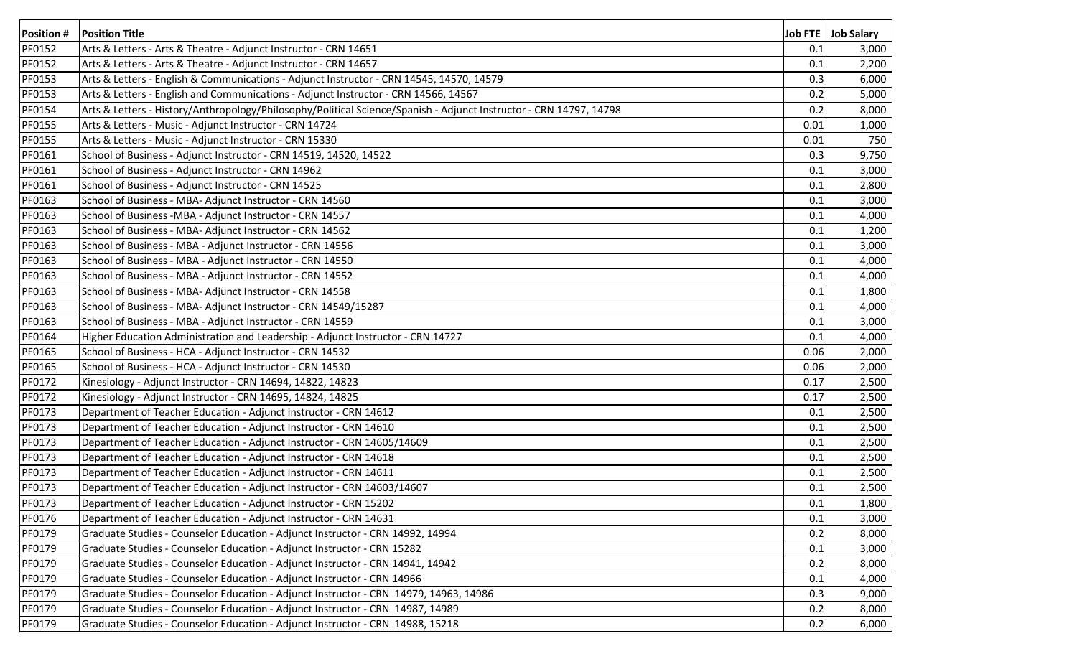| <b>Position #</b> | <b>Position Title</b>                                                                                              |      | Job FTE Job Salary |
|-------------------|--------------------------------------------------------------------------------------------------------------------|------|--------------------|
| <b>PF0152</b>     | Arts & Letters - Arts & Theatre - Adjunct Instructor - CRN 14651                                                   | 0.1  | 3,000              |
| PF0152            | Arts & Letters - Arts & Theatre - Adjunct Instructor - CRN 14657                                                   | 0.1  | 2,200              |
| PF0153            | Arts & Letters - English & Communications - Adjunct Instructor - CRN 14545, 14570, 14579                           | 0.3  | 6,000              |
| PF0153            | Arts & Letters - English and Communications - Adjunct Instructor - CRN 14566, 14567                                | 0.2  | 5,000              |
| PF0154            | Arts & Letters - History/Anthropology/Philosophy/Political Science/Spanish - Adjunct Instructor - CRN 14797, 14798 | 0.2  | 8,000              |
| <b>PF0155</b>     | Arts & Letters - Music - Adjunct Instructor - CRN 14724                                                            | 0.01 | 1,000              |
| <b>PF0155</b>     | Arts & Letters - Music - Adjunct Instructor - CRN 15330                                                            | 0.01 | 750                |
| PF0161            | School of Business - Adjunct Instructor - CRN 14519, 14520, 14522                                                  | 0.3  | 9,750              |
| PF0161            | School of Business - Adjunct Instructor - CRN 14962                                                                | 0.1  | 3,000              |
| PF0161            | School of Business - Adjunct Instructor - CRN 14525                                                                | 0.1  | 2,800              |
| PF0163            | School of Business - MBA- Adjunct Instructor - CRN 14560                                                           | 0.1  | 3,000              |
| PF0163            | School of Business - MBA - Adjunct Instructor - CRN 14557                                                          | 0.1  | 4,000              |
| PF0163            | School of Business - MBA- Adjunct Instructor - CRN 14562                                                           | 0.1  | 1,200              |
| PF0163            | School of Business - MBA - Adjunct Instructor - CRN 14556                                                          | 0.1  | 3,000              |
| PF0163            | School of Business - MBA - Adjunct Instructor - CRN 14550                                                          | 0.1  | 4,000              |
| PF0163            | School of Business - MBA - Adjunct Instructor - CRN 14552                                                          | 0.1  | 4,000              |
| PF0163            | School of Business - MBA- Adjunct Instructor - CRN 14558                                                           | 0.1  | 1,800              |
| PF0163            | School of Business - MBA- Adjunct Instructor - CRN 14549/15287                                                     | 0.1  | 4,000              |
| PF0163            | School of Business - MBA - Adjunct Instructor - CRN 14559                                                          | 0.1  | 3,000              |
| PF0164            | Higher Education Administration and Leadership - Adjunct Instructor - CRN 14727                                    | 0.1  | 4,000              |
| PF0165            | School of Business - HCA - Adjunct Instructor - CRN 14532                                                          | 0.06 | 2,000              |
| PF0165            | School of Business - HCA - Adjunct Instructor - CRN 14530                                                          | 0.06 | 2,000              |
| PF0172            | Kinesiology - Adjunct Instructor - CRN 14694, 14822, 14823                                                         | 0.17 | 2,500              |
| PF0172            | Kinesiology - Adjunct Instructor - CRN 14695, 14824, 14825                                                         | 0.17 | 2,500              |
| PF0173            | Department of Teacher Education - Adjunct Instructor - CRN 14612                                                   | 0.1  | 2,500              |
| PF0173            | Department of Teacher Education - Adjunct Instructor - CRN 14610                                                   | 0.1  | 2,500              |
| PF0173            | Department of Teacher Education - Adjunct Instructor - CRN 14605/14609                                             | 0.1  | 2,500              |
| PF0173            | Department of Teacher Education - Adjunct Instructor - CRN 14618                                                   | 0.1  | 2,500              |
| PF0173            | Department of Teacher Education - Adjunct Instructor - CRN 14611                                                   | 0.1  | 2,500              |
| PF0173            | Department of Teacher Education - Adjunct Instructor - CRN 14603/14607                                             | 0.1  | 2,500              |
| PF0173            | Department of Teacher Education - Adjunct Instructor - CRN 15202                                                   | 0.1  | 1,800              |
| PF0176            | Department of Teacher Education - Adjunct Instructor - CRN 14631                                                   | 0.1  | 3,000              |
| PF0179            | Graduate Studies - Counselor Education - Adjunct Instructor - CRN 14992, 14994                                     | 0.2  | 8,000              |
| PF0179            | Graduate Studies - Counselor Education - Adjunct Instructor - CRN 15282                                            | 0.1  | 3,000              |
| PF0179            | Graduate Studies - Counselor Education - Adjunct Instructor - CRN 14941, 14942                                     | 0.2  | 8,000              |
| PF0179            | Graduate Studies - Counselor Education - Adjunct Instructor - CRN 14966                                            | 0.1  | 4,000              |
| PF0179            | Graduate Studies - Counselor Education - Adjunct Instructor - CRN 14979, 14963, 14986                              | 0.3  | 9,000              |
| PF0179            | Graduate Studies - Counselor Education - Adjunct Instructor - CRN 14987, 14989                                     | 0.2  | 8,000              |
| PF0179            | Graduate Studies - Counselor Education - Adjunct Instructor - CRN 14988, 15218                                     | 0.2  | 6,000              |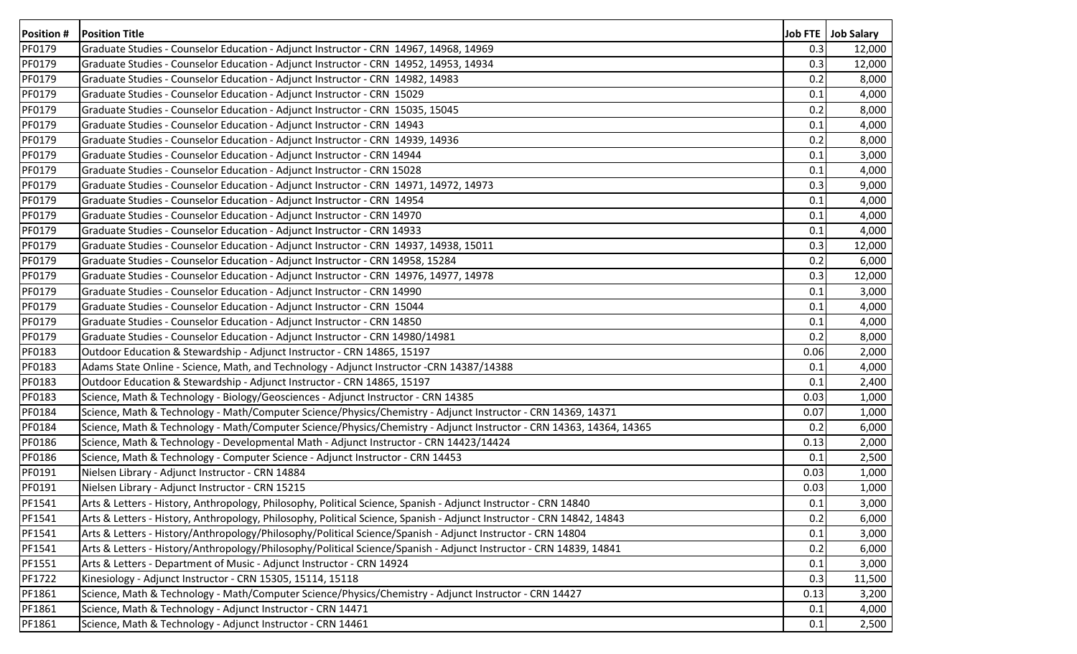| <b>Position#</b> | <b>Position Title</b>                                                                                                  |      | Job FTE   Job Salary |
|------------------|------------------------------------------------------------------------------------------------------------------------|------|----------------------|
| PF0179           | Graduate Studies - Counselor Education - Adjunct Instructor - CRN 14967, 14968, 14969                                  | 0.3  | 12,000               |
| PF0179           | Graduate Studies - Counselor Education - Adjunct Instructor - CRN 14952, 14953, 14934                                  | 0.3  | 12,000               |
| PF0179           | Graduate Studies - Counselor Education - Adjunct Instructor - CRN 14982, 14983                                         | 0.2  | 8,000                |
| PF0179           | Graduate Studies - Counselor Education - Adjunct Instructor - CRN 15029                                                | 0.1  | 4,000                |
| PF0179           | Graduate Studies - Counselor Education - Adjunct Instructor - CRN 15035, 15045                                         | 0.2  | 8,000                |
| PF0179           | Graduate Studies - Counselor Education - Adjunct Instructor - CRN 14943                                                | 0.1  | 4,000                |
| PF0179           | Graduate Studies - Counselor Education - Adjunct Instructor - CRN 14939, 14936                                         | 0.2  | 8,000                |
| PF0179           | Graduate Studies - Counselor Education - Adjunct Instructor - CRN 14944                                                | 0.1  | 3,000                |
| PF0179           | Graduate Studies - Counselor Education - Adjunct Instructor - CRN 15028                                                | 0.1  | 4,000                |
| PF0179           | Graduate Studies - Counselor Education - Adjunct Instructor - CRN 14971, 14972, 14973                                  | 0.3  | 9,000                |
| PF0179           | Graduate Studies - Counselor Education - Adjunct Instructor - CRN 14954                                                | 0.1  | 4,000                |
| PF0179           | Graduate Studies - Counselor Education - Adjunct Instructor - CRN 14970                                                | 0.1  | 4,000                |
| PF0179           | Graduate Studies - Counselor Education - Adjunct Instructor - CRN 14933                                                | 0.1  | 4,000                |
| PF0179           | Graduate Studies - Counselor Education - Adjunct Instructor - CRN 14937, 14938, 15011                                  | 0.3  | 12,000               |
| PF0179           | Graduate Studies - Counselor Education - Adjunct Instructor - CRN 14958, 15284                                         | 0.2  | 6,000                |
| PF0179           | Graduate Studies - Counselor Education - Adjunct Instructor - CRN 14976, 14977, 14978                                  | 0.3  | 12,000               |
| PF0179           | Graduate Studies - Counselor Education - Adjunct Instructor - CRN 14990                                                | 0.1  | 3,000                |
| PF0179           | Graduate Studies - Counselor Education - Adjunct Instructor - CRN 15044                                                | 0.1  | 4,000                |
| PF0179           | Graduate Studies - Counselor Education - Adjunct Instructor - CRN 14850                                                | 0.1  | 4,000                |
| PF0179           | Graduate Studies - Counselor Education - Adjunct Instructor - CRN 14980/14981                                          | 0.2  | 8,000                |
| PF0183           | Outdoor Education & Stewardship - Adjunct Instructor - CRN 14865, 15197                                                | 0.06 | 2,000                |
| PF0183           | Adams State Online - Science, Math, and Technology - Adjunct Instructor -CRN 14387/14388                               | 0.1  | 4,000                |
| PF0183           | Outdoor Education & Stewardship - Adjunct Instructor - CRN 14865, 15197                                                | 0.1  | 2,400                |
| PF0183           | Science, Math & Technology - Biology/Geosciences - Adjunct Instructor - CRN 14385                                      | 0.03 | 1,000                |
| PF0184           | Science, Math & Technology - Math/Computer Science/Physics/Chemistry - Adjunct Instructor - CRN 14369, 14371           | 0.07 | 1,000                |
| PF0184           | Science, Math & Technology - Math/Computer Science/Physics/Chemistry - Adjunct Instructor - CRN 14363, 14364, 14365    | 0.2  | 6,000                |
| PF0186           | Science, Math & Technology - Developmental Math - Adjunct Instructor - CRN 14423/14424                                 | 0.13 | 2,000                |
| PF0186           | Science, Math & Technology - Computer Science - Adjunct Instructor - CRN 14453                                         | 0.1  | 2,500                |
| PF0191           | Nielsen Library - Adjunct Instructor - CRN 14884                                                                       | 0.03 | 1,000                |
| PF0191           | Nielsen Library - Adjunct Instructor - CRN 15215                                                                       | 0.03 | 1,000                |
| PF1541           | Arts & Letters - History, Anthropology, Philosophy, Political Science, Spanish - Adjunct Instructor - CRN 14840        | 0.1  | 3,000                |
| PF1541           | Arts & Letters - History, Anthropology, Philosophy, Political Science, Spanish - Adjunct Instructor - CRN 14842, 14843 | 0.2  | 6,000                |
| PF1541           | Arts & Letters - History/Anthropology/Philosophy/Political Science/Spanish - Adjunct Instructor - CRN 14804            | 0.1  | 3,000                |
| PF1541           | Arts & Letters - History/Anthropology/Philosophy/Political Science/Spanish - Adjunct Instructor - CRN 14839, 14841     | 0.2  | 6,000                |
| PF1551           | Arts & Letters - Department of Music - Adjunct Instructor - CRN 14924                                                  | 0.1  | 3,000                |
| PF1722           | Kinesiology - Adjunct Instructor - CRN 15305, 15114, 15118                                                             | 0.3  | 11,500               |
| PF1861           | Science, Math & Technology - Math/Computer Science/Physics/Chemistry - Adjunct Instructor - CRN 14427                  | 0.13 | 3,200                |
| PF1861           | Science, Math & Technology - Adjunct Instructor - CRN 14471                                                            | 0.1  | 4,000                |
| PF1861           | Science, Math & Technology - Adjunct Instructor - CRN 14461                                                            | 0.1  | 2,500                |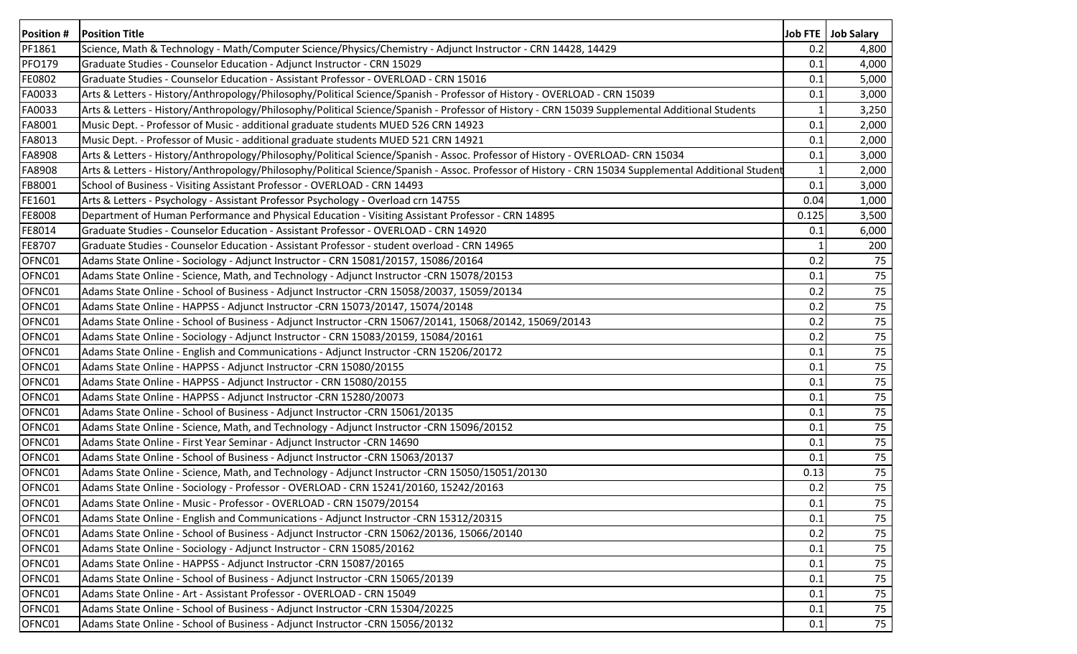| Position #    | <b>Position Title</b>                                                                                                                                |       | Job FTE   Job Salary |
|---------------|------------------------------------------------------------------------------------------------------------------------------------------------------|-------|----------------------|
| PF1861        | Science, Math & Technology - Math/Computer Science/Physics/Chemistry - Adjunct Instructor - CRN 14428, 14429                                         | 0.2   | 4,800                |
| <b>PFO179</b> | Graduate Studies - Counselor Education - Adjunct Instructor - CRN 15029                                                                              | 0.1   | 4,000                |
| FE0802        | Graduate Studies - Counselor Education - Assistant Professor - OVERLOAD - CRN 15016                                                                  | 0.1   | 5,000                |
| FA0033        | Arts & Letters - History/Anthropology/Philosophy/Political Science/Spanish - Professor of History - OVERLOAD - CRN 15039                             | 0.1   | 3,000                |
| FA0033        | Arts & Letters - History/Anthropology/Philosophy/Political Science/Spanish - Professor of History - CRN 15039 Supplemental Additional Students       |       | 3,250                |
| FA8001        | Music Dept. - Professor of Music - additional graduate students MUED 526 CRN 14923                                                                   | 0.1   | 2,000                |
| FA8013        | Music Dept. - Professor of Music - additional graduate students MUED 521 CRN 14921                                                                   | 0.1   | 2,000                |
| FA8908        | Arts & Letters - History/Anthropology/Philosophy/Political Science/Spanish - Assoc. Professor of History - OVERLOAD- CRN 15034                       | 0.1   | 3,000                |
| FA8908        | Arts & Letters - History/Anthropology/Philosophy/Political Science/Spanish - Assoc. Professor of History - CRN 15034 Supplemental Additional Student |       | 2,000                |
| FB8001        | School of Business - Visiting Assistant Professor - OVERLOAD - CRN 14493                                                                             | 0.1   | 3,000                |
| FE1601        | Arts & Letters - Psychology - Assistant Professor Psychology - Overload crn 14755                                                                    | 0.04  | 1,000                |
| FE8008        | Department of Human Performance and Physical Education - Visiting Assistant Professor - CRN 14895                                                    | 0.125 | 3,500                |
| FE8014        | Graduate Studies - Counselor Education - Assistant Professor - OVERLOAD - CRN 14920                                                                  | 0.1   | 6,000                |
| FE8707        | Graduate Studies - Counselor Education - Assistant Professor - student overload - CRN 14965                                                          |       | 200                  |
| OFNC01        | Adams State Online - Sociology - Adjunct Instructor - CRN 15081/20157, 15086/20164                                                                   | 0.2   | 75                   |
| OFNC01        | Adams State Online - Science, Math, and Technology - Adjunct Instructor -CRN 15078/20153                                                             | 0.1   | 75                   |
| OFNC01        | Adams State Online - School of Business - Adjunct Instructor -CRN 15058/20037, 15059/20134                                                           | 0.2   | 75                   |
| OFNC01        | Adams State Online - HAPPSS - Adjunct Instructor -CRN 15073/20147, 15074/20148                                                                       | 0.2   | 75                   |
| OFNC01        | Adams State Online - School of Business - Adjunct Instructor -CRN 15067/20141, 15068/20142, 15069/20143                                              | 0.2   | 75                   |
| OFNC01        | Adams State Online - Sociology - Adjunct Instructor - CRN 15083/20159, 15084/20161                                                                   | 0.2   | 75                   |
| OFNC01        | Adams State Online - English and Communications - Adjunct Instructor -CRN 15206/20172                                                                | 0.1   | 75                   |
| OFNC01        | Adams State Online - HAPPSS - Adjunct Instructor -CRN 15080/20155                                                                                    | 0.1   | 75                   |
| OFNC01        | Adams State Online - HAPPSS - Adjunct Instructor - CRN 15080/20155                                                                                   | 0.1   | 75                   |
| OFNC01        | Adams State Online - HAPPSS - Adjunct Instructor -CRN 15280/20073                                                                                    | 0.1   | 75                   |
| OFNC01        | Adams State Online - School of Business - Adjunct Instructor -CRN 15061/20135                                                                        | 0.1   | 75                   |
| OFNC01        | Adams State Online - Science, Math, and Technology - Adjunct Instructor -CRN 15096/20152                                                             | 0.1   | 75                   |
| OFNC01        | Adams State Online - First Year Seminar - Adjunct Instructor -CRN 14690                                                                              | 0.1   | 75                   |
| OFNC01        | Adams State Online - School of Business - Adjunct Instructor -CRN 15063/20137                                                                        | 0.1   | 75                   |
| OFNC01        | Adams State Online - Science, Math, and Technology - Adjunct Instructor -CRN 15050/15051/20130                                                       | 0.13  | 75                   |
| OFNC01        | Adams State Online - Sociology - Professor - OVERLOAD - CRN 15241/20160, 15242/20163                                                                 | 0.2   | 75                   |
| OFNC01        | Adams State Online - Music - Professor - OVERLOAD - CRN 15079/20154                                                                                  | 0.1   | 75                   |
| OFNC01        | Adams State Online - English and Communications - Adjunct Instructor -CRN 15312/20315                                                                | 0.1   | 75                   |
| OFNC01        | Adams State Online - School of Business - Adjunct Instructor -CRN 15062/20136, 15066/20140                                                           | 0.2   | 75                   |
| OFNC01        | Adams State Online - Sociology - Adjunct Instructor - CRN 15085/20162                                                                                | 0.1   | 75                   |
| OFNC01        | Adams State Online - HAPPSS - Adjunct Instructor -CRN 15087/20165                                                                                    | 0.1   | 75                   |
| OFNC01        | Adams State Online - School of Business - Adjunct Instructor -CRN 15065/20139                                                                        | 0.1   | 75                   |
| OFNC01        | Adams State Online - Art - Assistant Professor - OVERLOAD - CRN 15049                                                                                | 0.1   | 75                   |
| OFNC01        | Adams State Online - School of Business - Adjunct Instructor - CRN 15304/20225                                                                       | 0.1   | 75                   |
| OFNC01        | Adams State Online - School of Business - Adjunct Instructor - CRN 15056/20132                                                                       | 0.1   | 75                   |